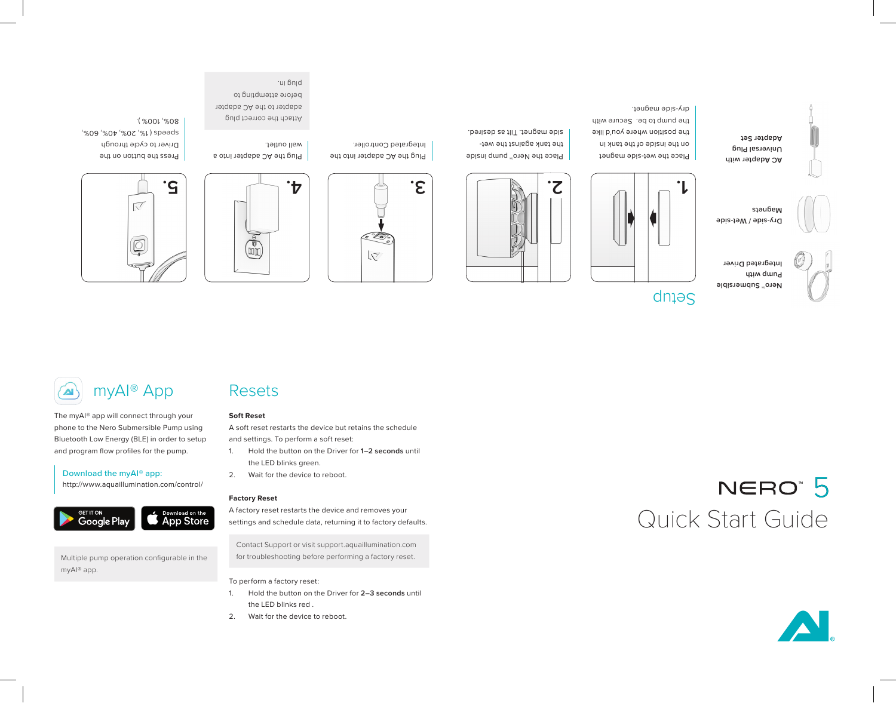

**2. 1.**

Place the wet-side magnet on the inside of the tank in the position where you'd like the pump to be. Secure with

dry-side magnet.



Place the Nero™ pump inside the tank against the wetside magnet. Tilt as desired.





Plug the AC adapter into the Integrated Controller.





Driver to cycle through speeds ( 1%, 20%, 40%, 60%,

80%, 100% ).

Press the button on the



The myAI® app will connect through your phone to the Nero Submersible Pump using Bluetooth Low Energy (BLE) in order to setup and program flow profiles for the pump.

## Download the myAI® app:

http://www.aquaillumination.com/control/



Multiple pump operation configurable in the myAI® app.

# Resets

## **Soft Reset**

Plug the AC adapter into a

Attach the correct plug adapter to the AC adapter before attempting to

wall outlet.

ui bnid.

A soft reset restarts the device but retains the schedule and settings. To perform a soft reset:

- 1. Hold the button on the Driver for **1–2 seconds** until the LED blinks green.
- 2. Wait for the device to reboot.

# **Factory Reset**

A factory reset restarts the device and removes your settings and schedule data, returning it to factory defaults.

Contact Support or visit support.aquaillumination.com for troubleshooting before performing a factory reset.

#### To perform a factory reset:

- 1. Hold the button on the Driver for **2–3 seconds** until the LED blinks red .
- 2. Wait for the device to reboot.

# NERO<sup>®</sup> 5 Quick Start Guide



**Dry-side / Wet-side** 

**Pump with Integrated Driver**

**Adapter Set**

**Nero™ Submersible** 

dnieg